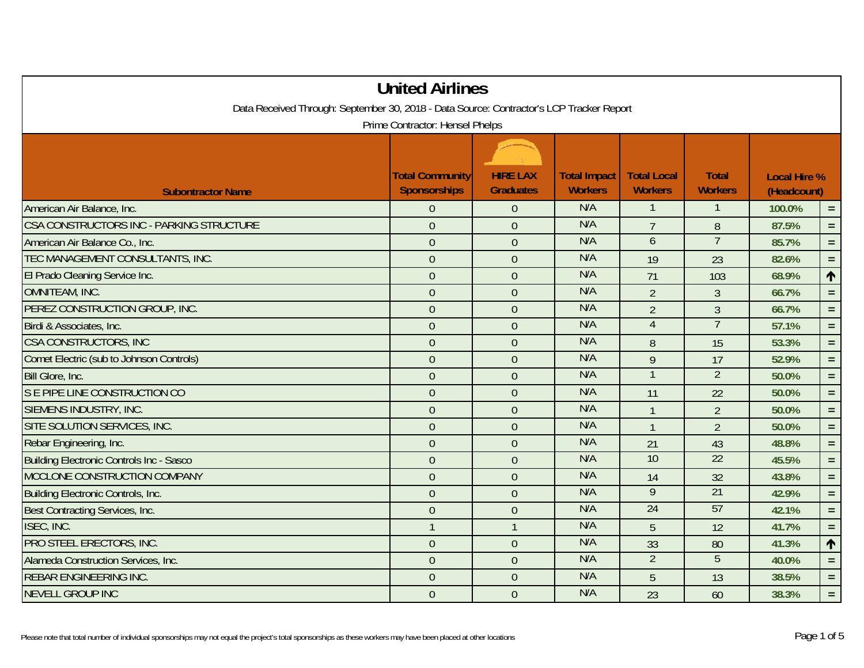| <b>United Airlines</b><br>Data Received Through: September 30, 2018 - Data Source: Contractor's LCP Tracker Report<br>Prime Contractor: Hensel Phelps |                  |                |     |                 |                 |        |                 |  |
|-------------------------------------------------------------------------------------------------------------------------------------------------------|------------------|----------------|-----|-----------------|-----------------|--------|-----------------|--|
|                                                                                                                                                       |                  |                |     |                 |                 |        |                 |  |
| American Air Balance, Inc.                                                                                                                            | $\overline{0}$   | $\theta$       | N/A | $\mathbf 1$     | $\mathbf{1}$    | 100.0% | $\equiv$        |  |
| CSA CONSTRUCTORS INC - PARKING STRUCTURE                                                                                                              | $\mathbf{0}$     | $\overline{0}$ | N/A | $\overline{7}$  | 8               | 87.5%  | $=$ $\,$        |  |
| American Air Balance Co., Inc.                                                                                                                        | $\overline{0}$   | $\overline{0}$ | N/A | 6               | $\overline{7}$  | 85.7%  | $=$ $\,$        |  |
| TEC MANAGEMENT CONSULTANTS, INC.                                                                                                                      | $\boldsymbol{0}$ | $\overline{0}$ | N/A | 19              | 23              | 82.6%  | $=$ $\,$        |  |
| El Prado Cleaning Service Inc.                                                                                                                        | $\overline{0}$   | $\overline{0}$ | N/A | 71              | 103             | 68.9%  | $\blacklozenge$ |  |
| OMNITEAM, INC.                                                                                                                                        | $\overline{0}$   | $\Omega$       | N/A | $\overline{2}$  | $\mathfrak{Z}$  | 66.7%  | $=$ .           |  |
| PEREZ CONSTRUCTION GROUP, INC.                                                                                                                        | $\overline{0}$   | $\overline{0}$ | N/A | $\overline{2}$  | $\mathfrak{Z}$  | 66.7%  | $\equiv$        |  |
| Birdi & Associates, Inc.                                                                                                                              | $\overline{0}$   | $\overline{0}$ | N/A | $\overline{4}$  | $7\overline{ }$ | 57.1%  | $\equiv$        |  |
| <b>CSA CONSTRUCTORS, INC</b>                                                                                                                          | $\mathbf{0}$     | $\overline{0}$ | N/A | 8               | 15              | 53.3%  | $=$ .           |  |
| <b>Comet Electric (sub to Johnson Controls)</b>                                                                                                       | $\overline{0}$   | $\overline{0}$ | N/A | 9               | 17              | 52.9%  | $=$ .           |  |
| Bill Glore, Inc.                                                                                                                                      | $\overline{0}$   | $\Omega$       | N/A | $\overline{1}$  | $\overline{2}$  | 50.0%  | $=$ $\,$        |  |
| S E PIPE LINE CONSTRUCTION CO                                                                                                                         | $\overline{0}$   | $\overline{0}$ | N/A | 11              | 22              | 50.0%  | $=$ .           |  |
| SIEMENS INDUSTRY, INC.                                                                                                                                | $\mathbf{0}$     | $\overline{0}$ | N/A | $\overline{1}$  | $\overline{2}$  | 50.0%  | $=$ .           |  |
| SITE SOLUTION SERVICES, INC.                                                                                                                          | $\overline{0}$   | $\overline{0}$ | N/A | $\mathbf{1}$    | $\overline{2}$  | 50.0%  | $\equiv$        |  |
| Rebar Engineering, Inc.                                                                                                                               | $\overline{0}$   | $\overline{0}$ | N/A | 21              | 43              | 48.8%  | $\equiv$ .      |  |
| Building Electronic Controls Inc - Sasco                                                                                                              | $\overline{0}$   | $\overline{0}$ | N/A | 10              | 22              | 45.5%  | $\equiv$        |  |
| MCCLONE CONSTRUCTION COMPANY                                                                                                                          | $\overline{0}$   | $\overline{0}$ | N/A | 14              | 32              | 43.8%  | $=$ $\,$        |  |
| <b>Building Electronic Controls, Inc.</b>                                                                                                             | $\overline{0}$   | $\overline{0}$ | N/A | 9               | 21              | 42.9%  | $=$             |  |
| Best Contracting Services, Inc.                                                                                                                       | $\overline{0}$   | $\overline{0}$ | N/A | $\overline{24}$ | 57              | 42.1%  | $=$ $\,$        |  |
| ISEC, INC.                                                                                                                                            | $\mathbf{1}$     | $\mathbf{1}$   | N/A | 5               | 12              | 41.7%  | $=$ $\,$        |  |
| PRO STEEL ERECTORS, INC.                                                                                                                              | $\mathbf{0}$     | $\overline{0}$ | N/A | 33              | 80              | 41.3%  | $\uparrow$      |  |
| Alameda Construction Services, Inc.                                                                                                                   | $\overline{0}$   | $\overline{0}$ | N/A | $\overline{2}$  | $\overline{5}$  | 40.0%  | $\equiv$        |  |
| <b>REBAR ENGINEERING INC.</b>                                                                                                                         | $\overline{0}$   | $\overline{0}$ | N/A | 5               | 13              | 38.5%  | $\equiv$        |  |
| <b>NEVELL GROUP INC</b>                                                                                                                               | $\mathbf{0}$     | $\overline{0}$ | N/A | 23              | 60              | 38.3%  | $\equiv$        |  |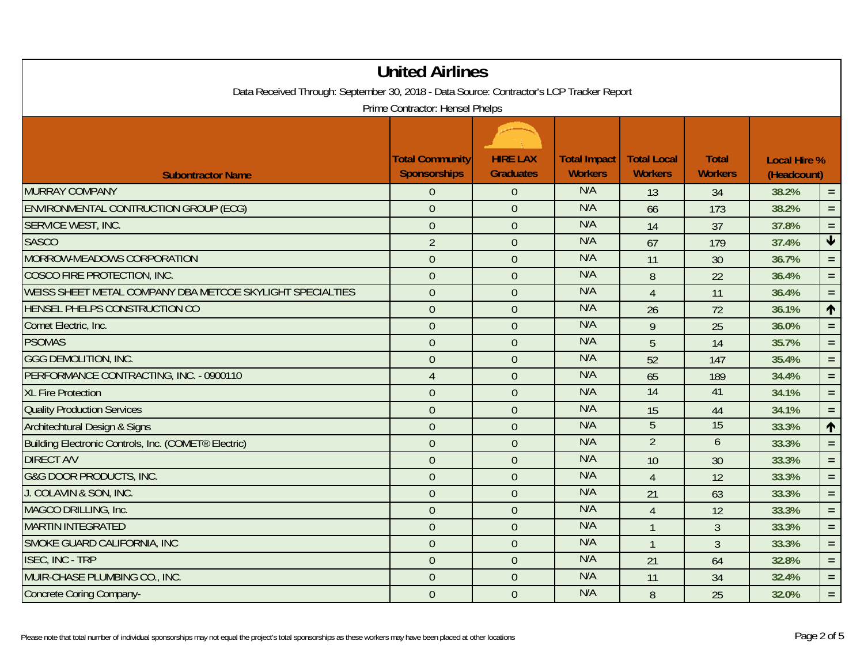| <b>United Airlines</b><br>Data Received Through: September 30, 2018 - Data Source: Contractor's LCP Tracker Report<br>Prime Contractor: Hensel Phelps |                |                |     |                 |                |       |                 |  |
|-------------------------------------------------------------------------------------------------------------------------------------------------------|----------------|----------------|-----|-----------------|----------------|-------|-----------------|--|
|                                                                                                                                                       |                |                |     |                 |                |       |                 |  |
| <b>MURRAY COMPANY</b>                                                                                                                                 | $\overline{0}$ | $\overline{0}$ | N/A | 13              | 34             | 38.2% | $\equiv$        |  |
| ENVIRONMENTAL CONTRUCTION GROUP (ECG)                                                                                                                 | $\overline{0}$ | $\overline{0}$ | N/A | 66              | 173            | 38.2% | $\equiv$        |  |
| SERVICE WEST, INC.                                                                                                                                    | $\overline{0}$ | $\overline{0}$ | N/A | 14              | 37             | 37.8% | $=$ $\,$        |  |
| <b>SASCO</b>                                                                                                                                          | $\overline{2}$ | $\overline{0}$ | N/A | 67              | 179            | 37.4% | $\blacklozenge$ |  |
| MORROW-MEADOWS CORPORATION                                                                                                                            | $\overline{0}$ | $\overline{0}$ | N/A | 11              | 30             | 36.7% | $\equiv$        |  |
| COSCO FIRE PROTECTION, INC.                                                                                                                           | $\overline{0}$ | $\overline{0}$ | N/A | $\, 8$          | 22             | 36.4% | $\equiv$        |  |
| WEISS SHEET METAL COMPANY DBA METCOE SKYLIGHT SPECIALTIES                                                                                             | $\overline{0}$ | $\overline{0}$ | N/A | $\overline{4}$  | 11             | 36.4% | $=$ $\,$        |  |
| HENSEL PHELPS CONSTRUCTION CO                                                                                                                         | $\overline{0}$ | $\overline{0}$ | N/A | 26              | 72             | 36.1% | $\uparrow$      |  |
| Comet Electric, Inc.                                                                                                                                  | $\overline{0}$ | $\overline{0}$ | N/A | 9               | 25             | 36.0% | $\equiv$        |  |
| <b>PSOMAS</b>                                                                                                                                         | $\overline{0}$ | $\overline{0}$ | N/A | 5               | 14             | 35.7% | $=$             |  |
| <b>GGG DEMOLITION, INC.</b>                                                                                                                           | $\overline{0}$ | $\overline{0}$ | N/A | 52              | 147            | 35.4% | $\equiv$        |  |
| PERFORMANCE CONTRACTING, INC. - 0900110                                                                                                               | $\overline{4}$ | $\overline{0}$ | N/A | 65              | 189            | 34.4% | $\equiv$        |  |
| <b>XL Fire Protection</b>                                                                                                                             | $\mathbf{0}$   | $\overline{0}$ | N/A | $\overline{14}$ | 41             | 34.1% | $\equiv$        |  |
| <b>Quality Production Services</b>                                                                                                                    | $\overline{0}$ | $\overline{0}$ | N/A | 15              | 44             | 34.1% | $=$ $\,$        |  |
| Architechtural Design & Signs                                                                                                                         | $\overline{0}$ | $\overline{0}$ | N/A | $\overline{5}$  | 15             | 33.3% | $\blacklozenge$ |  |
| Building Electronic Controls, Inc. (COMET® Electric)                                                                                                  | $\overline{0}$ | $\overline{0}$ | N/A | $\overline{2}$  | 6              | 33.3% | $\equiv$        |  |
| <b>DIRECT A/V</b>                                                                                                                                     | $\overline{0}$ | $\overline{0}$ | N/A | 10              | 30             | 33.3% | $\equiv$        |  |
| <b>G&amp;G DOOR PRODUCTS, INC.</b>                                                                                                                    | $\overline{0}$ | $\overline{0}$ | N/A | $\overline{4}$  | 12             | 33.3% | $\equiv$        |  |
| J. COLAVIN & SON, INC.                                                                                                                                | $\overline{0}$ | $\overline{0}$ | N/A | 21              | 63             | 33.3% | $\equiv$        |  |
| MAGCO DRILLING, Inc.                                                                                                                                  | $\overline{0}$ | $\overline{0}$ | N/A | $\overline{4}$  | 12             | 33.3% | $\equiv$        |  |
| <b>MARTIN INTEGRATED</b>                                                                                                                              | $\overline{0}$ | $\overline{0}$ | N/A |                 | 3              | 33.3% | $\equiv$        |  |
| SMOKE GUARD CALIFORNIA, INC                                                                                                                           | $\overline{0}$ | $\overline{0}$ | N/A | $\overline{1}$  | $\overline{3}$ | 33.3% | $\equiv$        |  |
| <b>ISEC, INC - TRP</b>                                                                                                                                | $\overline{0}$ | $\overline{0}$ | N/A | 21              | 64             | 32.8% | $=$             |  |
| MUIR-CHASE PLUMBING CO., INC.                                                                                                                         | $\overline{0}$ | $\overline{0}$ | N/A | 11              | 34             | 32.4% | $=$ $\,$        |  |
| <b>Concrete Coring Company-</b>                                                                                                                       | $\overline{0}$ | $\overline{0}$ | N/A | 8               | 25             | 32.0% | $\equiv$        |  |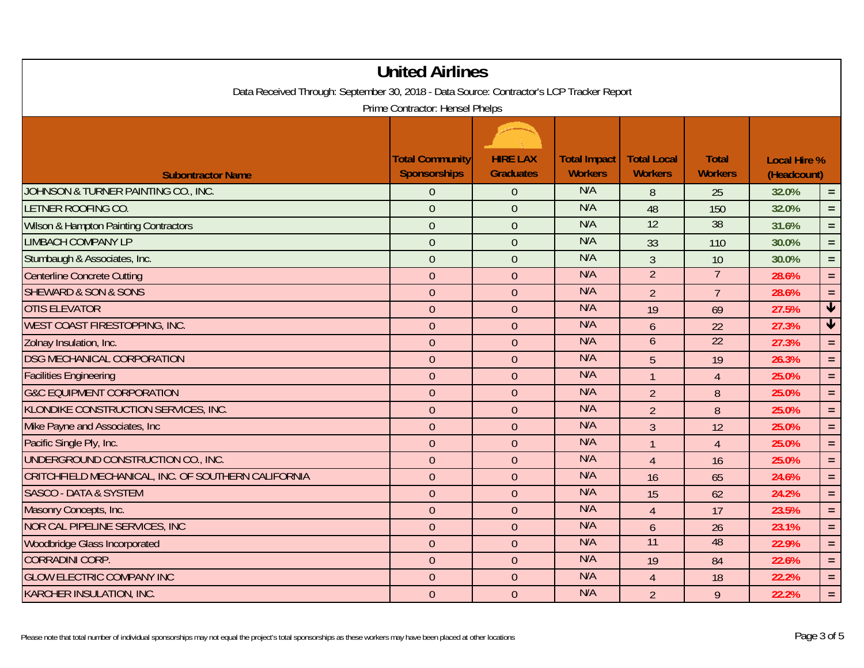|                                                                                                                             | <b>United Airlines</b> |                  |                     |                    |                 |                                    |                         |  |
|-----------------------------------------------------------------------------------------------------------------------------|------------------------|------------------|---------------------|--------------------|-----------------|------------------------------------|-------------------------|--|
| Data Received Through: September 30, 2018 - Data Source: Contractor's LCP Tracker Report<br>Prime Contractor: Hensel Phelps |                        |                  |                     |                    |                 |                                    |                         |  |
|                                                                                                                             | <b>Total Community</b> | <b>HIRE LAX</b>  | <b>Total Impact</b> | <b>Total Local</b> | <b>Total</b>    | <b>Local Hire %</b><br>(Headcount) |                         |  |
| <b>Subontractor Name</b>                                                                                                    | <b>Sponsorships</b>    | <b>Graduates</b> | <b>Workers</b>      | <b>Workers</b>     | <b>Workers</b>  |                                    |                         |  |
| JOHNSON & TURNER PAINTING CO., INC.                                                                                         | $\theta$               | $\overline{0}$   | N/A                 | 8                  | 25              | 32.0%                              | $\equiv$                |  |
| LETNER ROOFING CO.                                                                                                          | $\overline{0}$         | $\overline{0}$   | N/A                 | 48                 | 150             | 32.0%                              | $\equiv$                |  |
| <b>Wilson &amp; Hampton Painting Contractors</b>                                                                            | $\mathbf{0}$           | $\overline{0}$   | N/A                 | 12                 | 38              | 31.6%                              | $\equiv$                |  |
| <b>LIMBACH COMPANY LP</b>                                                                                                   | $\overline{0}$         | $\overline{0}$   | N/A                 | 33                 | 110             | 30.0%                              | $\equiv$                |  |
| Stumbaugh & Associates, Inc.                                                                                                | $\overline{0}$         | $\overline{0}$   | N/A                 | $\overline{3}$     | 10              | 30.0%                              | $\equiv$                |  |
| <b>Centerline Concrete Cutting</b>                                                                                          | $\mathbf{0}$           | $\overline{0}$   | N/A                 | $\overline{2}$     | $\overline{7}$  | 28.6%                              | $\equiv$                |  |
| <b>SHEWARD &amp; SON &amp; SONS</b>                                                                                         | $\overline{0}$         | $\overline{0}$   | N/A                 | $\overline{2}$     | $\overline{7}$  | 28.6%                              | $\equiv$                |  |
| <b>OTIS ELEVATOR</b>                                                                                                        | $\overline{0}$         | $\overline{0}$   | N/A                 | 19                 | 69              | 27.5%                              | $\blacklozenge$         |  |
| WEST COAST FIRESTOPPING, INC.                                                                                               | $\overline{0}$         | $\overline{0}$   | N/A                 | $\mathfrak b$      | 22              | 27.3%                              | $\overline{\mathbf{V}}$ |  |
| Zolnay Insulation, Inc.                                                                                                     | $\theta$               | $\overline{0}$   | N/A                 | $6\overline{6}$    | $\overline{22}$ | 27.3%                              | $\equiv$                |  |
| <b>DSG MECHANICAL CORPORATION</b>                                                                                           | $\theta$               | $\overline{0}$   | N/A                 | 5                  | 19              | 26.3%                              | $\equiv$                |  |
| <b>Facilities Engineering</b>                                                                                               | $\overline{0}$         | $\overline{0}$   | N/A                 |                    | $\overline{4}$  | 25.0%                              | $\equiv$                |  |
| <b>G&amp;C EQUIPMENT CORPORATION</b>                                                                                        | $\overline{0}$         | $\overline{0}$   | N/A                 | $\overline{2}$     | $\, 8$          | 25.0%                              | $\equiv$                |  |
| KLONDIKE CONSTRUCTION SERVICES, INC.                                                                                        | $\overline{0}$         | $\overline{0}$   | N/A                 | $\overline{2}$     | 8               | 25.0%                              | $\equiv$                |  |
| Mike Payne and Associates, Inc.                                                                                             | $\overline{0}$         | $\overline{0}$   | N/A                 | $\overline{3}$     | 12              | 25.0%                              | $\equiv$                |  |
| Pacific Single Ply, Inc.                                                                                                    | $\overline{0}$         | $\overline{0}$   | N/A                 | $\mathbf{1}$       | $\overline{4}$  | 25.0%                              | $\equiv$                |  |
| UNDERGROUND CONSTRUCTION CO., INC.                                                                                          | $\mathbf{0}$           | $\overline{0}$   | N/A                 | $\overline{4}$     | 16              | 25.0%                              | $\equiv$                |  |
| CRITCHFIELD MECHANICAL, INC. OF SOUTHERN CALIFORNIA                                                                         | $\theta$               | $\overline{0}$   | N/A                 | 16                 | 65              | 24.6%                              | $\equiv$                |  |
| <b>SASCO - DATA &amp; SYSTEM</b>                                                                                            | $\overline{0}$         | $\overline{0}$   | N/A                 | 15                 | 62              | 24.2%                              | $\equiv$                |  |
| Masonry Concepts, Inc.                                                                                                      | $\overline{0}$         | $\overline{0}$   | N/A                 | $\overline{4}$     | 17              | 23.5%                              | $\equiv$                |  |
| <b>NOR CAL PIPELINE SERVICES, INC</b>                                                                                       | $\mathbf{0}$           | $\overline{0}$   | N/A                 | 6                  | 26              | 23.1%                              | $\equiv$                |  |
| <b>Woodbridge Glass Incorporated</b>                                                                                        | $\overline{0}$         | $\overline{0}$   | N/A                 | 11                 | 48              | 22.9%                              | $\equiv$                |  |
| <b>CORRADINI CORP.</b>                                                                                                      | $\overline{0}$         | $\overline{0}$   | N/A                 | 19                 | 84              | 22.6%                              | $\equiv$                |  |
| <b>GLOW ELECTRIC COMPANY INC</b>                                                                                            | $\overline{0}$         | $\overline{0}$   | N/A                 | 4                  | 18              | 22.2%                              | $=$                     |  |
| KARCHER INSULATION, INC.                                                                                                    | $\mathbf{0}$           | $\overline{0}$   | N/A                 | $\overline{2}$     | 9               | 22.2%                              | $\equiv$                |  |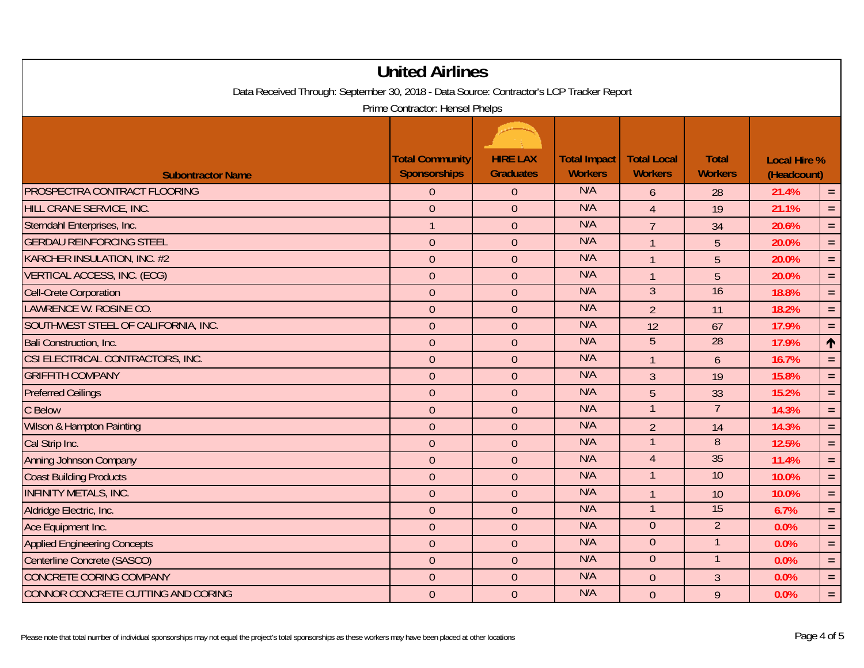| <b>United Airlines</b>                                                                                                      |                        |                  |                     |                         |                |                                    |          |  |
|-----------------------------------------------------------------------------------------------------------------------------|------------------------|------------------|---------------------|-------------------------|----------------|------------------------------------|----------|--|
| Data Received Through: September 30, 2018 - Data Source: Contractor's LCP Tracker Report<br>Prime Contractor: Hensel Phelps |                        |                  |                     |                         |                |                                    |          |  |
|                                                                                                                             | <b>Total Community</b> | <b>HIRE LAX</b>  | <b>Total Impact</b> | <b>Total Local</b>      | <b>Total</b>   | <b>Local Hire %</b><br>(Headcount) |          |  |
| <b>Subontractor Name</b>                                                                                                    | <b>Sponsorships</b>    | <b>Graduates</b> | <b>Workers</b>      | <b>Workers</b>          | <b>Workers</b> |                                    |          |  |
| PROSPECTRA CONTRACT FLOORING                                                                                                | $\overline{0}$         | $\overline{0}$   | N/A                 | 6                       | 28             | 21.4%                              | $=$ $\,$ |  |
| HILL CRANE SERVICE, INC.                                                                                                    | $\overline{0}$         | $\overline{0}$   | N/A                 | $\overline{4}$          | 19             | 21.1%                              | $\equiv$ |  |
| Sterndahl Enterprises, Inc.                                                                                                 | $\mathbf{1}$           | $\overline{0}$   | N/A                 | $\overline{7}$          | 34             | 20.6%                              | $\equiv$ |  |
| <b>GERDAU REINFORCING STEEL</b>                                                                                             | $\overline{0}$         | $\overline{0}$   | N/A                 |                         | 5              | 20.0%                              | $\equiv$ |  |
| KARCHER INSULATION, INC. #2                                                                                                 | $\overline{0}$         | $\overline{0}$   | N/A                 | $\mathbf{1}$            | 5              | 20.0%                              | $\equiv$ |  |
| <b>VERTICAL ACCESS, INC. (ECG)</b>                                                                                          | $\overline{0}$         | $\theta$         | N/A                 | $\mathbf{1}$            | 5              | 20.0%                              | $\equiv$ |  |
| <b>Cell-Crete Corporation</b>                                                                                               | $\mathbf 0$            | $\overline{0}$   | N/A                 | $\overline{3}$          | 16             | 18.8%                              | $\equiv$ |  |
| LAWRENCE W. ROSINE CO.                                                                                                      | $\overline{0}$         | $\overline{0}$   | N/A                 | $\overline{2}$          | 11             | 18.2%                              | $\equiv$ |  |
| SOUTHWEST STEEL OF CALIFORNIA, INC.                                                                                         | $\overline{0}$         | $\overline{0}$   | N/A                 | 12                      | 67             | 17.9%                              | $\equiv$ |  |
| Bali Construction, Inc.                                                                                                     | $\overline{0}$         | $\overline{0}$   | N/A                 | $\overline{5}$          | 28             | 17.9%                              | ↑        |  |
| CSI ELECTRICAL CONTRACTORS, INC.                                                                                            | $\overline{0}$         | $\overline{0}$   | N/A                 | $\mathbf 1$             | 6              | 16.7%                              | $\equiv$ |  |
| <b>GRIFFITH COMPANY</b>                                                                                                     | $\overline{0}$         | $\overline{0}$   | N/A                 | $\overline{3}$          | 19             | 15.8%                              | $\equiv$ |  |
| <b>Preferred Ceilings</b>                                                                                                   | $\mathbf 0$            | $\boldsymbol{0}$ | N/A                 | 5                       | 33             | 15.2%                              | $\equiv$ |  |
| C Below                                                                                                                     | $\overline{0}$         | $\mathbf{0}$     | N/A                 | $\overline{\mathbf{1}}$ | $\overline{7}$ | 14.3%                              | $\equiv$ |  |
| Wilson & Hampton Painting                                                                                                   | $\overline{0}$         | $\overline{0}$   | N/A                 | $\overline{2}$          | 14             | 14.3%                              | $\equiv$ |  |
| Cal Strip Inc.                                                                                                              | $\overline{0}$         | $\overline{0}$   | N/A                 | $\mathbf{1}$            | 8              | 12.5%                              | $\equiv$ |  |
| Anning Johnson Company                                                                                                      | $\overline{0}$         | $\overline{0}$   | N/A                 | $\overline{4}$          | 35             | 11.4%                              | $\equiv$ |  |
| <b>Coast Building Products</b>                                                                                              | $\overline{0}$         | $\overline{0}$   | N/A                 | $\mathbf{1}$            | 10             | 10.0%                              | $\equiv$ |  |
| <b>INFINITY METALS, INC.</b>                                                                                                | $\overline{0}$         | $\overline{0}$   | N/A                 | $\overline{1}$          | 10             | 10.0%                              | $\equiv$ |  |
| Aldridge Electric, Inc.                                                                                                     | $\boldsymbol{0}$       | $\theta$         | N/A                 | $\overline{1}$          | 15             | 6.7%                               | $\equiv$ |  |
| Ace Equipment Inc.                                                                                                          | $\mathbf{0}$           | $\overline{0}$   | N/A                 | $\overline{0}$          | $\overline{2}$ | 0.0%                               | $=$      |  |
| <b>Applied Engineering Concepts</b>                                                                                         | $\overline{0}$         | $\overline{0}$   | N/A                 | $\theta$                | $\mathbf{1}$   | 0.0%                               | $\equiv$ |  |
| Centerline Concrete (SASCO)                                                                                                 | $\overline{0}$         | $\overline{0}$   | N/A                 | $\overline{0}$          | $\mathbf{1}$   | 0.0%                               | $=$      |  |
| <b>CONCRETE CORING COMPANY</b>                                                                                              | $\overline{0}$         | $\overline{0}$   | N/A                 | $\theta$                | $\mathfrak{Z}$ | 0.0%                               | $\equiv$ |  |
| CONNOR CONCRETE CUTTING AND CORING                                                                                          | $\overline{0}$         | $\overline{0}$   | N/A                 | $\overline{0}$          | 9              | 0.0%                               | $\equiv$ |  |